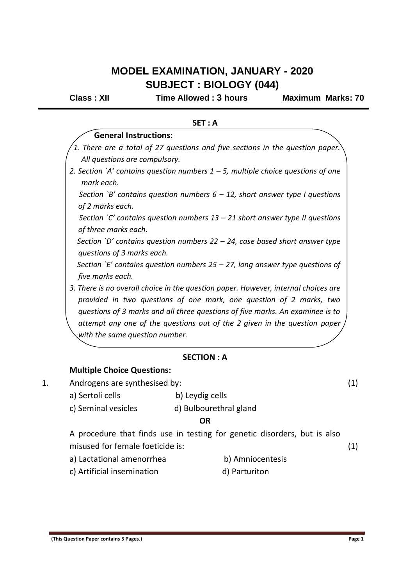# **MODEL EXAMINATION, JANUARY - 2020 SUBJECT : BIOLOGY (044)**

**Class : XII Time Allowed : 3 hours Maximum Marks: 70**

| SET: A                                                                                                                                                                                                                                     |  |
|--------------------------------------------------------------------------------------------------------------------------------------------------------------------------------------------------------------------------------------------|--|
| <b>General Instructions:</b>                                                                                                                                                                                                               |  |
| 1. There are a total of 27 questions and five sections in the question paper.                                                                                                                                                              |  |
| All questions are compulsory.                                                                                                                                                                                                              |  |
| 2. Section `A' contains question numbers $1 - 5$ , multiple choice questions of one<br>mark each.                                                                                                                                          |  |
| Section `B' contains question numbers $6 - 12$ , short answer type I questions<br>of 2 marks each.                                                                                                                                         |  |
| Section `C' contains question numbers $13 - 21$ short answer type II questions<br>of three marks each.                                                                                                                                     |  |
| Section `D' contains question numbers $22 - 24$ , case based short answer type<br>questions of 3 marks each.                                                                                                                               |  |
| Section `E' contains question numbers 25 – 27, long answer type questions of<br>five marks each.                                                                                                                                           |  |
| 3. There is no overall choice in the question paper. However, internal choices are<br>provided in two questions of one mark, one question of 2 marks, two<br>questions of 3 marks and all three questions of five marks. An examinee is to |  |
| attempt any one of the questions out of the 2 given in the question paper<br>with the same question number.                                                                                                                                |  |
| <b>SECTION: A</b>                                                                                                                                                                                                                          |  |
| <b>Multiple Choice Questions:</b>                                                                                                                                                                                                          |  |
| Androgens are synthesised by:                                                                                                                                                                                                              |  |
|                                                                                                                                                                                                                                            |  |

- a) Sertoli cells b) Leydig cells
	- c) Seminal vesicles d) Bulbourethral gland

#### **OR**

A procedure that finds use in testing for genetic disorders, but is also misused for female foeticide is:

- a) Lactational amenorrhea b) Amniocentesis
- c) Artificial insemination d) Parturiton

(1)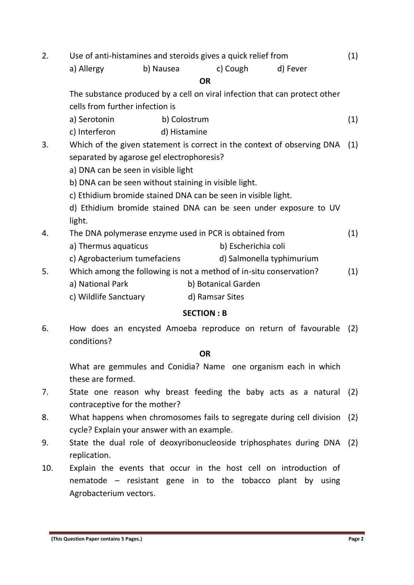| 2. | Use of anti-histamines and steroids gives a quick relief from              |           |                 |                     |                           | (1) |     |
|----|----------------------------------------------------------------------------|-----------|-----------------|---------------------|---------------------------|-----|-----|
|    | a) Allergy                                                                 | b) Nausea |                 | c) Cough            | d) Fever                  |     |     |
|    | <b>OR</b>                                                                  |           |                 |                     |                           |     |     |
|    | The substance produced by a cell on viral infection that can protect other |           |                 |                     |                           |     |     |
|    | cells from further infection is                                            |           |                 |                     |                           |     |     |
|    | a) Serotonin                                                               |           | b) Colostrum    |                     |                           |     | (1) |
|    | c) Interferon                                                              |           | d) Histamine    |                     |                           |     |     |
| 3. | Which of the given statement is correct in the context of observing DNA    |           |                 |                     |                           | (1) |     |
|    | separated by agarose gel electrophoresis?                                  |           |                 |                     |                           |     |     |
|    | a) DNA can be seen in visible light                                        |           |                 |                     |                           |     |     |
|    | b) DNA can be seen without staining in visible light.                      |           |                 |                     |                           |     |     |
|    | c) Ethidium bromide stained DNA can be seen in visible light.              |           |                 |                     |                           |     |     |
|    | d) Ethidium bromide stained DNA can be seen under exposure to UV           |           |                 |                     |                           |     |     |
|    | light.                                                                     |           |                 |                     |                           |     |     |
| 4. | The DNA polymerase enzyme used in PCR is obtained from                     |           |                 |                     |                           |     | (1) |
|    | a) Thermus aquaticus                                                       |           |                 | b) Escherichia coli |                           |     |     |
|    | c) Agrobacterium tumefaciens                                               |           |                 |                     | d) Salmonella typhimurium |     |     |
| 5. | Which among the following is not a method of in-situ conservation?         |           |                 |                     |                           |     | (1) |
|    | a) National Park                                                           |           |                 | b) Botanical Garden |                           |     |     |
|    | c) Wildlife Sanctuary                                                      |           | d) Ramsar Sites |                     |                           |     |     |

## **SECTION : B**

6. How does an encysted Amoeba reproduce on return of favourable (2) conditions?

### **OR**

What are gemmules and Conidia? Name one organism each in which these are formed.

- 7. State one reason why breast feeding the baby acts as a natural (2) contraceptive for the mother?
- 8. What happens when chromosomes fails to segregate during cell division (2) cycle? Explain your answer with an example.
- 9. State the dual role of deoxyribonucleoside triphosphates during DNA (2) replication.
- 10. Explain the events that occur in the host cell on introduction of nematode – resistant gene in to the tobacco plant by using Agrobacterium vectors.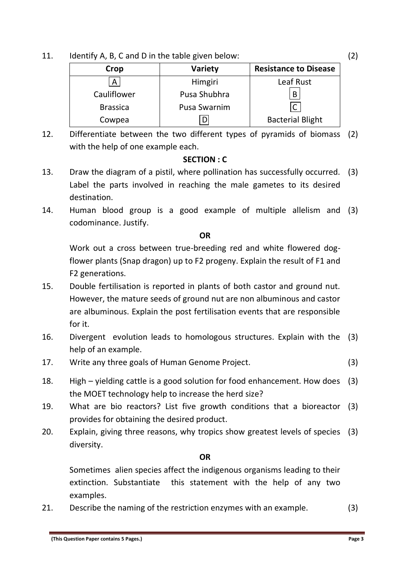11. Identify A, B, C and D in the table given below:

| Crop            | <b>Variety</b>      | <b>Resistance to Disease</b> |  |  |
|-----------------|---------------------|------------------------------|--|--|
| Α               | Himgiri             | Leaf Rust                    |  |  |
| Cauliflower     | Pusa Shubhra        | B                            |  |  |
| <b>Brassica</b> | <b>Pusa Swarnim</b> | $\mathsf{C}$                 |  |  |
| Cowpea          | D                   | <b>Bacterial Blight</b>      |  |  |

12. Differentiate between the two different types of pyramids of biomass (2) with the help of one example each.

## **SECTION : C**

- 13. Draw the diagram of a pistil, where pollination has successfully occurred. (3) Label the parts involved in reaching the male gametes to its desired destination.
- 14. Human blood group is a good example of multiple allelism and (3) codominance. Justify.

## **OR**

Work out a cross between true-breeding red and white flowered dogflower plants (Snap dragon) up to F2 progeny. Explain the result of F1 and F2 generations.

- 15. Double fertilisation is reported in plants of both castor and ground nut. However, the mature seeds of ground nut are non albuminous and castor are albuminous. Explain the post fertilisation events that are responsible for it.
- 16. Divergent evolution leads to homologous structures. Explain with the (3) help of an example.
- 17. Write any three goals of Human Genome Project. (3)
- 18. High yielding cattle is a good solution for food enhancement. How does (3) the MOET technology help to increase the herd size?
- 19. What are bio reactors? List five growth conditions that a bioreactor (3) provides for obtaining the desired product.
- 20. Explain, giving three reasons, why tropics show greatest levels of species (3) diversity.

## **OR**

Sometimes alien species affect the indigenous organisms leading to their extinction. Substantiate this statement with the help of any two examples.

21. Describe the naming of the restriction enzymes with an example. (3)

(2)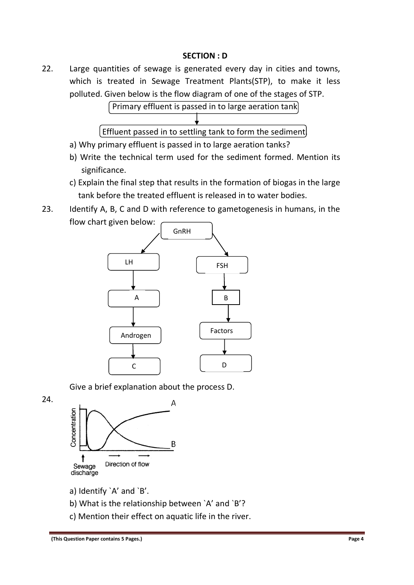## **SECTION : D**

22. Large quantities of sewage is generated every day in cities and towns, which is treated in Sewage Treatment Plants(STP), to make it less polluted. Given below is the flow diagram of one of the stages of STP.



- a) Why primary effluent is passed in to large aeration tanks?
- b) Write the technical term used for the sediment formed. Mention its significance.
- c) Explain the final step that results in the formation of biogas in the large tank before the treated effluent is released in to water bodies.
- 23. Identify A, B, C and D with reference to gametogenesis in humans, in the flow chart given below:



Give a brief explanation about the process D.

24.



- a) Identify `A' and `B'.
- b) What is the relationship between `A' and `B'?
- c) Mention their effect on aquatic life in the river.